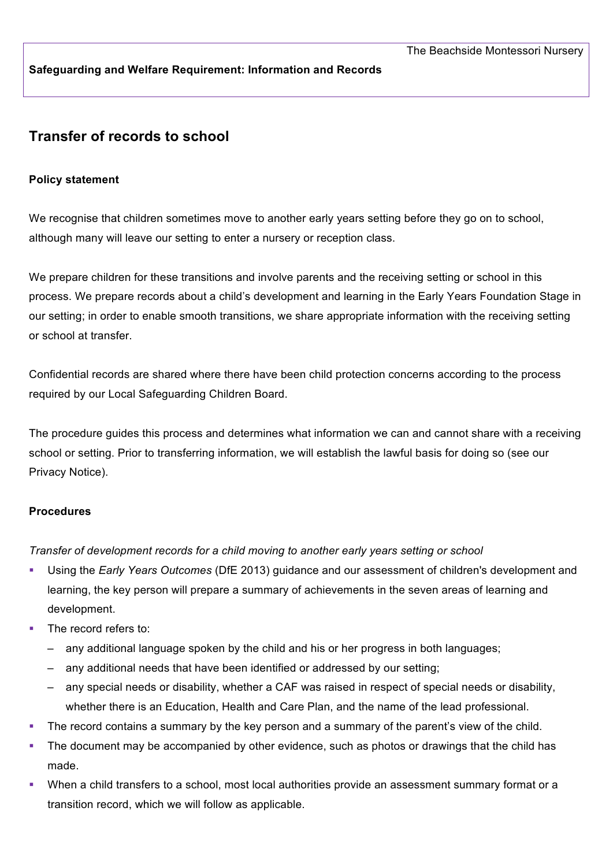**Safeguarding and Welfare Requirement: Information and Records**

# **Transfer of records to school**

#### **Policy statement**

We recognise that children sometimes move to another early years setting before they go on to school, although many will leave our setting to enter a nursery or reception class.

We prepare children for these transitions and involve parents and the receiving setting or school in this process. We prepare records about a child's development and learning in the Early Years Foundation Stage in our setting; in order to enable smooth transitions, we share appropriate information with the receiving setting or school at transfer.

Confidential records are shared where there have been child protection concerns according to the process required by our Local Safeguarding Children Board.

The procedure guides this process and determines what information we can and cannot share with a receiving school or setting. Prior to transferring information, we will establish the lawful basis for doing so (see our Privacy Notice).

#### **Procedures**

*Transfer of development records for a child moving to another early years setting or school*

- § Using the *Early Years Outcomes* (DfE 2013) guidance and our assessment of children's development and learning, the key person will prepare a summary of achievements in the seven areas of learning and development.
- The record refers to:
	- any additional language spoken by the child and his or her progress in both languages;
	- any additional needs that have been identified or addressed by our setting;
	- any special needs or disability, whether a CAF was raised in respect of special needs or disability, whether there is an Education, Health and Care Plan, and the name of the lead professional.
- The record contains a summary by the key person and a summary of the parent's view of the child.
- The document may be accompanied by other evidence, such as photos or drawings that the child has made.
- When a child transfers to a school, most local authorities provide an assessment summary format or a transition record, which we will follow as applicable.